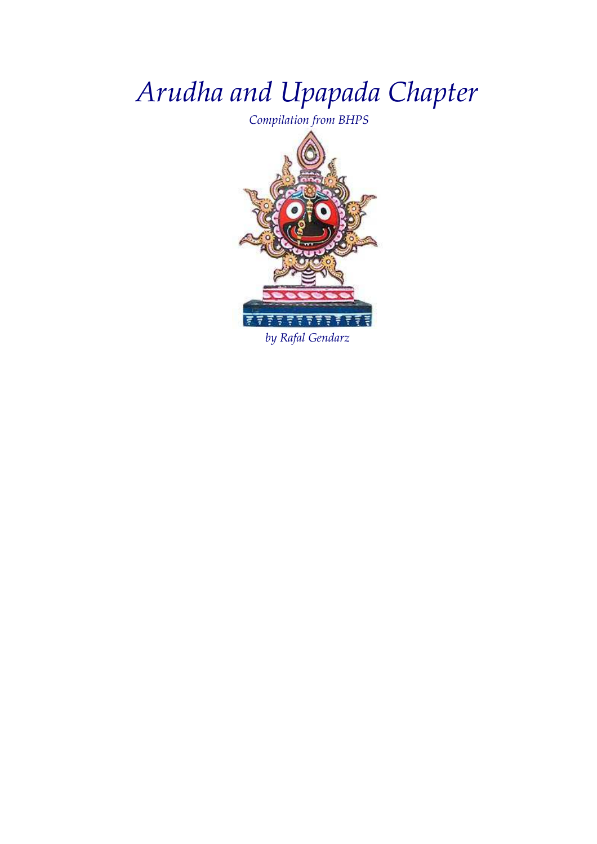# Arudha and Upapada Chapter

Compilation from BHPS



by Rafal Gendarz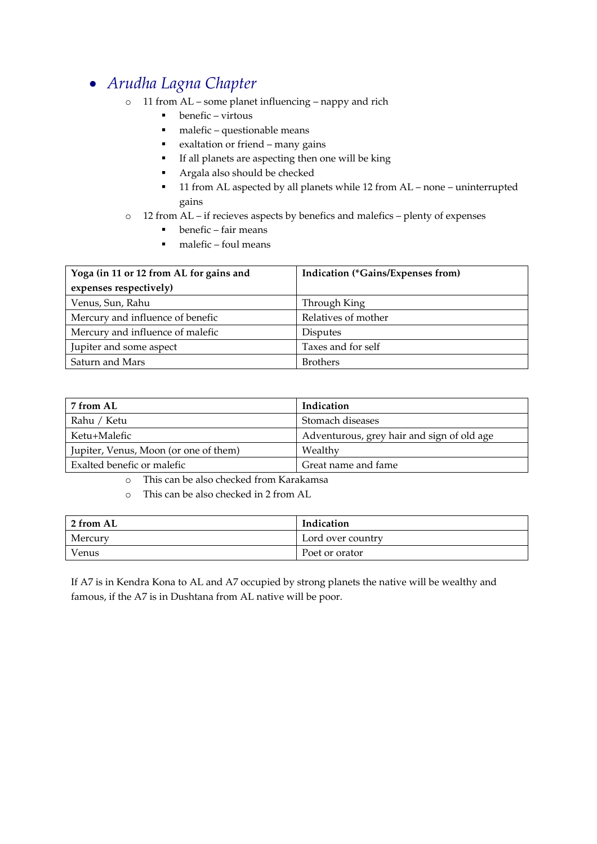#### • Arudha Lagna Chapter

- o 11 from AL some planet influencing nappy and rich
	- $\bullet$  benefic virtous
	- $\blacksquare$  malefic questionable means
	- exaltation or friend many gains
	- If all planets are aspecting then one will be king
	- **Argala also should be checked**
	- 11 from AL aspected by all planets while 12 from AL none uninterrupted gains
- o 12 from AL if recieves aspects by benefics and malefics plenty of expenses
	- $\blacksquare$  benefic fair means
	- $\n **malefic found means**\n$

| Yoga (in 11 or 12 from AL for gains and | <b>Indication (*Gains/Expenses from)</b> |
|-----------------------------------------|------------------------------------------|
| expenses respectively)                  |                                          |
| Venus, Sun, Rahu                        | Through King                             |
| Mercury and influence of benefic        | Relatives of mother                      |
| Mercury and influence of malefic        | <b>Disputes</b>                          |
| Jupiter and some aspect                 | Taxes and for self                       |
| Saturn and Mars                         | <b>Brothers</b>                          |

| 7 from AL                             | Indication                                 |
|---------------------------------------|--------------------------------------------|
| Rahu / Ketu                           | Stomach diseases                           |
| Ketu+Malefic                          | Adventurous, grey hair and sign of old age |
| Jupiter, Venus, Moon (or one of them) | Wealthy                                    |
| Exalted benefic or malefic            | Great name and fame                        |

- o This can be also checked from Karakamsa
- o This can be also checked in 2 from AL

| 2 from AL | Indication        |
|-----------|-------------------|
| Mercury   | Lord over country |
| Venus     | Poet or orator    |

If A7 is in Kendra Kona to AL and A7 occupied by strong planets the native will be wealthy and famous, if the A7 is in Dushtana from AL native will be poor.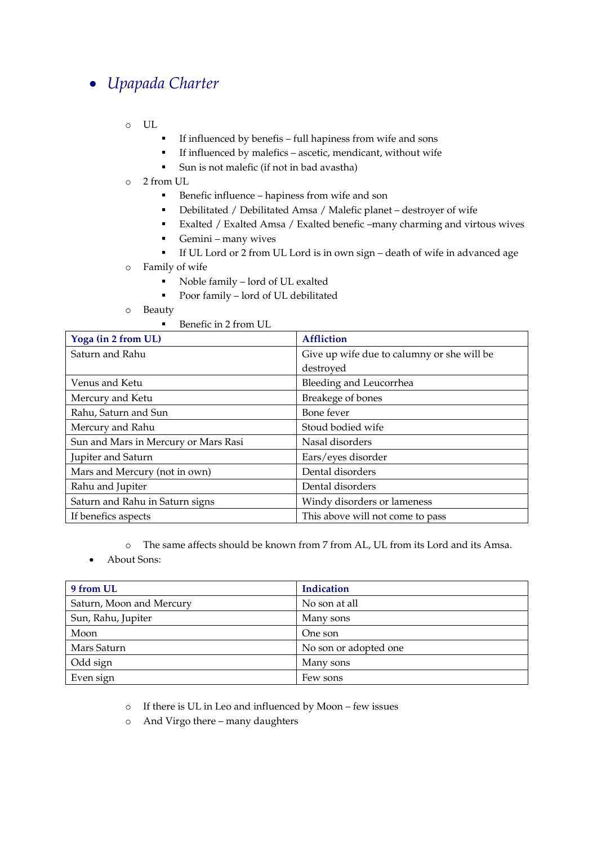### • Upapada Charter

- o UL
- If influenced by benefis full hapiness from wife and sons
- If influenced by malefics ascetic, mendicant, without wife
- Sun is not malefic (if not in bad avastha)
- o 2 from UL
	- **Benefic influence hapiness from wife and son**
	- Debilitated / Debilitated Amsa / Malefic planet destroyer of wife
	- Exalted / Exalted Amsa / Exalted benefic –many charming and virtous wives
	- Gemini many wives
	- If UL Lord or 2 from UL Lord is in own sign death of wife in advanced age
- o Family of wife
	- Noble family lord of UL exalted
	- Poor family lord of UL debilitated
- o Beauty
	- Benefic in 2 from UL

| Yoga (in 2 from UL)                  | <b>Affliction</b>                          |
|--------------------------------------|--------------------------------------------|
| Saturn and Rahu                      | Give up wife due to calumny or she will be |
|                                      | destroyed                                  |
| Venus and Ketu                       | Bleeding and Leucorrhea                    |
| Mercury and Ketu                     | Breakege of bones                          |
| Rahu, Saturn and Sun                 | Bone fever                                 |
| Mercury and Rahu                     | Stoud bodied wife                          |
| Sun and Mars in Mercury or Mars Rasi | Nasal disorders                            |
| Jupiter and Saturn                   | Ears/eyes disorder                         |
| Mars and Mercury (not in own)        | Dental disorders                           |
| Rahu and Jupiter                     | Dental disorders                           |
| Saturn and Rahu in Saturn signs      | Windy disorders or lameness                |
| If benefics aspects                  | This above will not come to pass           |

o The same affects should be known from 7 from AL, UL from its Lord and its Amsa.

• About Sons:

| 9 from UL                | <b>Indication</b>     |
|--------------------------|-----------------------|
| Saturn, Moon and Mercury | No son at all         |
| Sun, Rahu, Jupiter       | Many sons             |
| Moon                     | One son               |
| Mars Saturn              | No son or adopted one |
| Odd sign                 | Many sons             |
| Even sign                | Few sons              |

o If there is UL in Leo and influenced by Moon – few issues

o And Virgo there – many daughters